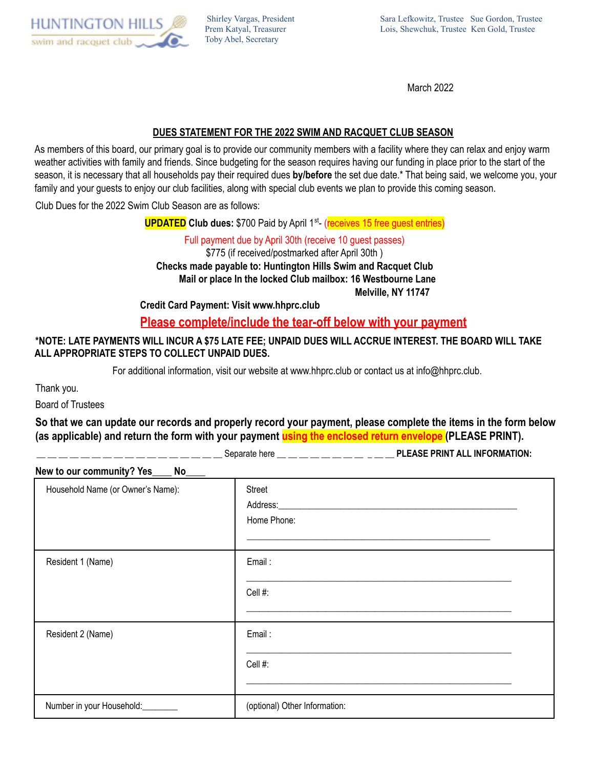

Shirley Vargas, President Prem Katyal, Treasurer Toby Abel, Secretary

March 2022

## **DUES STATEMENT FOR THE 2022 SWIM AND RACQUET CLUB SEASON**

As members of this board, our primary goal is to provide our community members with a facility where they can relax and enjoy warm weather activities with family and friends. Since budgeting for the season requires having our funding in place prior to the start of the season, it is necessary that all households pay their required dues **by/before** the set due date.\* That being said, we welcome you, your family and your guests to enjoy our club facilities, along with special club events we plan to provide this coming season.

Club Dues for the 2022 Swim Club Season are as follows:

**UPDATED** Club dues: \$700 Paid by April 1<sup>st</sup>- (receives 15 free guest entries)

Full payment due by April 30th (receive 10 guest passes) \$775 (if received/postmarked after April 30th ) **Checks made payable to: Huntington Hills Swim and Racquet Club Mail or place In the locked Club mailbox: 16 Westbourne Lane Melville, NY 11747**

**Credit Card Payment: Visit www.hhprc.club**

**Please complete/include the tear-off below with your payment**

## \*NOTE: LATE PAYMENTS WILL INCUR A \$75 LATE FEE: UNPAID DUES WILL ACCRUE INTEREST. THE BOARD WILL TAKE **ALL APPROPRIATE STEPS TO COLLECT UNPAID DUES.**

For additional information, visit our website at www.hhprc.club or contact us at info@hhprc.club.

Thank you.

Board of Trustees

**So that we can update our records and properly record your payment, please complete the items in the form below (as applicable) and return the form with your payment using the enclosed return envelope (PLEASE PRINT).**

\_\_ \_\_ \_\_ \_\_ \_\_ \_\_ \_\_ \_\_ \_\_ \_\_ \_\_ \_\_ \_\_ \_\_ \_\_ \_\_ \_\_ Separate here \_\_ \_\_ \_\_ \_\_ \_\_ \_\_ \_\_ \_\_ \_ \_\_ \_\_ **PLEASE PRINT ALL INFORMATION:**

| New to our community? Yes<br>No |
|---------------------------------|
|---------------------------------|

| Household Name (or Owner's Name): | Street<br>Home Phone:         |  |
|-----------------------------------|-------------------------------|--|
| Resident 1 (Name)                 | Email:<br>Cell #:             |  |
| Resident 2 (Name)                 | Email:<br>Cell #:             |  |
| Number in your Household:         | (optional) Other Information: |  |